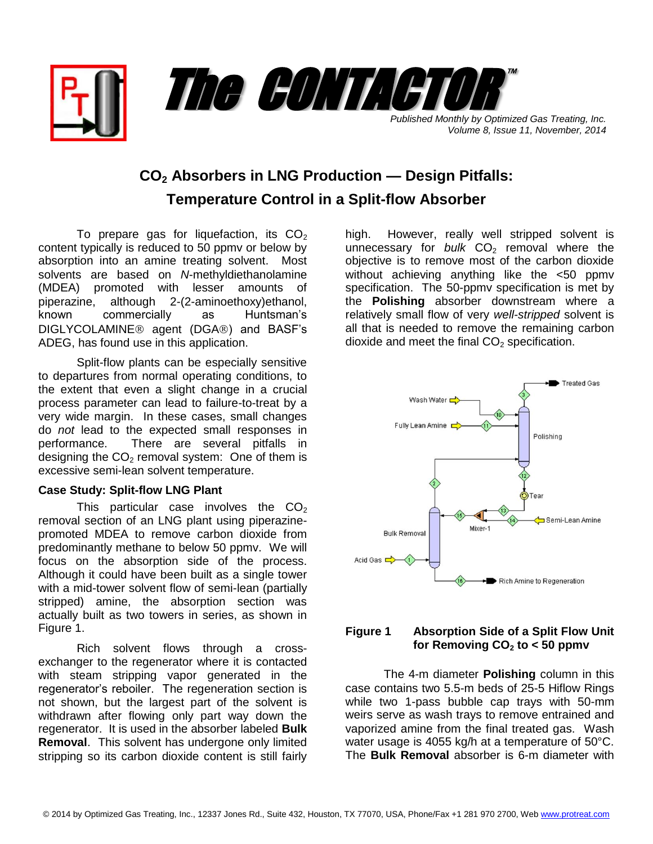

*Volume 8, Issue 11, November, 2014*

## **CO<sup>2</sup> Absorbers in LNG Production — Design Pitfalls: Temperature Control in a Split-flow Absorber**

To prepare gas for liquefaction, its  $CO<sub>2</sub>$ content typically is reduced to 50 ppmv or below by absorption into an amine treating solvent. Most solvents are based on *N*-methyldiethanolamine (MDEA) promoted with lesser amounts of piperazine, although 2-(2-aminoethoxy)ethanol, known commercially as Huntsman's DIGLYCOLAMINE<sup>®</sup> agent (DGA®) and BASF's ADEG, has found use in this application.

Split-flow plants can be especially sensitive to departures from normal operating conditions, to the extent that even a slight change in a crucial process parameter can lead to failure-to-treat by a very wide margin. In these cases, small changes do *not* lead to the expected small responses in performance. There are several pitfalls in designing the  $CO<sub>2</sub>$  removal system: One of them is excessive semi-lean solvent temperature.

## **Case Study: Split-flow LNG Plant**

This particular case involves the  $CO<sub>2</sub>$ removal section of an LNG plant using piperazinepromoted MDEA to remove carbon dioxide from predominantly methane to below 50 ppmv. We will focus on the absorption side of the process. Although it could have been built as a single tower with a mid-tower solvent flow of semi-lean (partially stripped) amine, the absorption section was actually built as two towers in series, as shown in Figure 1.

Rich solvent flows through a crossexchanger to the regenerator where it is contacted with steam stripping vapor generated in the regenerator's reboiler. The regeneration section is not shown, but the largest part of the solvent is withdrawn after flowing only part way down the regenerator. It is used in the absorber labeled **Bulk Removal**. This solvent has undergone only limited stripping so its carbon dioxide content is still fairly

high. However, really well stripped solvent is unnecessary for *bulk*  $CO<sub>2</sub>$  removal where the objective is to remove most of the carbon dioxide without achieving anything like the <50 ppmv specification. The 50-ppmv specification is met by the **Polishing** absorber downstream where a relatively small flow of very *well-stripped* solvent is all that is needed to remove the remaining carbon dioxide and meet the final  $CO<sub>2</sub>$  specification.



## **Figure 1 Absorption Side of a Split Flow Unit**  for Removing  $CO<sub>2</sub>$  to  $<$  50 ppmv

The 4-m diameter **Polishing** column in this case contains two 5.5-m beds of 25-5 Hiflow Rings while two 1-pass bubble cap trays with 50-mm weirs serve as wash trays to remove entrained and vaporized amine from the final treated gas. Wash water usage is 4055 kg/h at a temperature of 50°C. The **Bulk Removal** absorber is 6-m diameter with